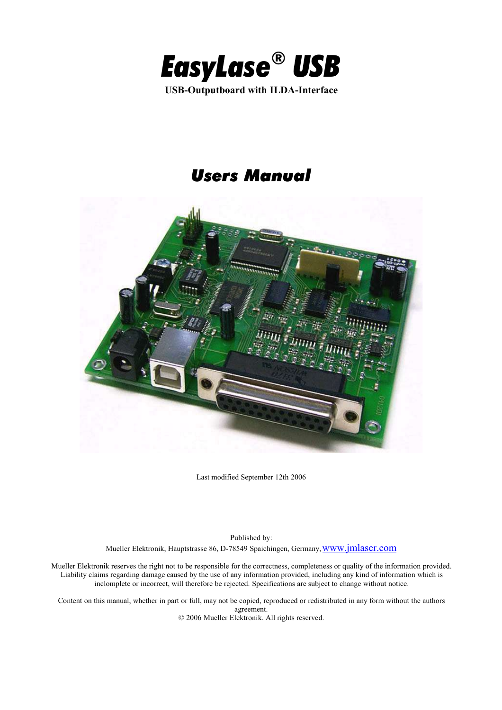

# *Users Manual*



Last modified September 12th 2006

Published by:

Mueller Elektronik, Hauptstrasse 86, D-78549 Spaichingen, Germany, www.jmlaser.com

Mueller Elektronik reserves the right not to be responsible for the correctness, completeness or quality of the information provided. Liability claims regarding damage caused by the use of any information provided, including any kind of information which is inclomplete or incorrect, will therefore be rejected. Specifications are subject to change without notice.

Content on this manual, whether in part or full, may not be copied, reproduced or redistributed in any form without the authors agreement.

© 2006 Mueller Elektronik. All rights reserved.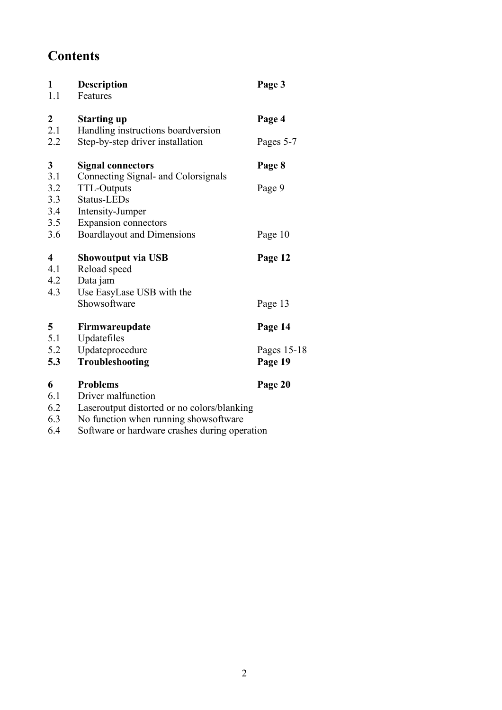# **Contents**

| $\mathbf{1}$<br>1.1                          | <b>Description</b><br>Features                                                                     | Page 3                 |
|----------------------------------------------|----------------------------------------------------------------------------------------------------|------------------------|
| $\boldsymbol{2}$                             | <b>Starting up</b>                                                                                 | Page 4                 |
| 2.1<br>2.2                                   | Handling instructions boardversion<br>Step-by-step driver installation                             | Pages 5-7              |
| 3<br>3.1                                     | <b>Signal connectors</b>                                                                           | Page 8                 |
| 3.2<br>3.3                                   | Connecting Signal- and Colorsignals<br><b>TTL-Outputs</b><br>Status-LEDs                           | Page 9                 |
| 3.4<br>3.5                                   | Intensity-Jumper<br>Expansion connectors                                                           |                        |
| 3.6                                          | <b>Boardlayout and Dimensions</b>                                                                  | Page 10                |
| $\overline{\mathbf{4}}$<br>4.1<br>4.2<br>4.3 | <b>Showoutput via USB</b><br>Reload speed<br>Data jam<br>Use EasyLase USB with the<br>Showsoftware | Page 12<br>Page 13     |
| 5<br>5.1                                     | Firmwareupdate<br>Updatefiles                                                                      | Page 14                |
| 5.2<br>5.3                                   | Updateprocedure<br>Troubleshooting                                                                 | Pages 15-18<br>Page 19 |
| 6<br>6.1<br>6.2                              | <b>Problems</b><br>Driver malfunction<br>Laseroutput distorted or no colors/blanking               | Page 20                |

- 6.3 No function when running showsoftware
- 6.4 Software or hardware crashes during operation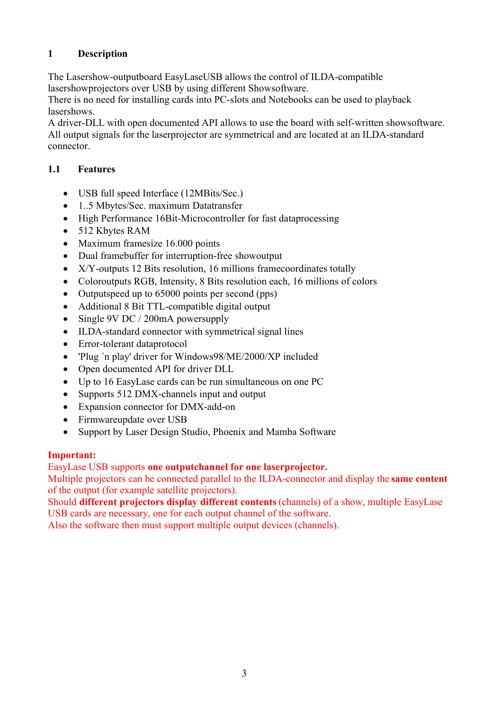# **1 Description**

The Lasershow-outputboard EasyLaseUSB allows the control of ILDA-compatible lasershowprojectors over USB by using different Showsoftware.

There is no need for installing cards into PC-slots and Notebooks can be used to playback lasershows.

A driver-DLL with open documented API allows to use the board with self-written showsoftware. All output signals for the laserprojector are symmetrical and are located at an ILDA-standard connector.

## **1.1 Features**

- USB full speed Interface (12MBits/Sec.)
- 1..5 Mbytes/Sec. maximum Datatransfer
- High Performance 16Bit-Microcontroller for fast dataprocessing
- 512 Kbytes RAM
- Maximum framesize 16.000 points
- Dual framebuffer for interruption-free showoutput
- X/Y-outputs 12 Bits resolution, 16 millions framecoordinates totally
- Coloroutputs RGB, Intensity, 8 Bits resolution each, 16 millions of colors
- Outputspeed up to 65000 points per second (pps)
- Additional 8 Bit TTL-compatible digital output
- Single 9V DC / 200mA powersupply
- ILDA-standard connector with symmetrical signal lines
- Error-tolerant dataprotocol
- 'Plug ´n play' driver for Windows98/ME/2000/XP included
- Open documented API for driver DLL
- Up to 16 EasyLase cards can be run simultaneous on one PC
- Supports 512 DMX-channels input and output
- Expansion connector for DMX-add-on
- Firmwareupdate over USB
- Support by Laser Design Studio, Phoenix and Mamba Software

## **Important:**

EasyLase USB supports **one outputchannel for one laserprojector.**

Multiple projectors can be connected parallel to the ILDA-connector and display the **same content** of the output (for example satellite projectors).

Should **different projectors display different contents** (channels) of a show, multiple EasyLase USB cards are necessary, one for each output channel of the software.

Also the software then must support multiple output devices (channels).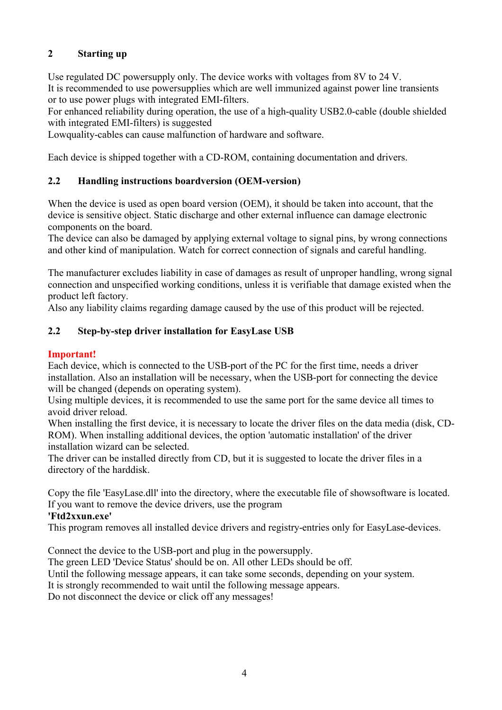# **2 Starting up**

Use regulated DC powersupply only. The device works with voltages from 8V to 24 V. It is recommended to use powersupplies which are well immunized against power line transients or to use power plugs with integrated EMI-filters.

For enhanced reliability during operation, the use of a high-quality USB2.0-cable (double shielded with integrated EMI-filters) is suggested

Lowquality-cables can cause malfunction of hardware and software.

Each device is shipped together with a CD-ROM, containing documentation and drivers.

## **2.2 Handling instructions boardversion (OEM-version)**

When the device is used as open board version (OEM), it should be taken into account, that the device is sensitive object. Static discharge and other external influence can damage electronic components on the board.

The device can also be damaged by applying external voltage to signal pins, by wrong connections and other kind of manipulation. Watch for correct connection of signals and careful handling.

The manufacturer excludes liability in case of damages as result of unproper handling, wrong signal connection and unspecified working conditions, unless it is verifiable that damage existed when the product left factory.

Also any liability claims regarding damage caused by the use of this product will be rejected.

## **2.2 Step-by-step driver installation for EasyLase USB**

#### **Important!**

Each device, which is connected to the USB-port of the PC for the first time, needs a driver installation. Also an installation will be necessary, when the USB-port for connecting the device will be changed (depends on operating system).

Using multiple devices, it is recommended to use the same port for the same device all times to avoid driver reload.

When installing the first device, it is necessary to locate the driver files on the data media (disk, CD-ROM). When installing additional devices, the option 'automatic installation' of the driver installation wizard can be selected.

The driver can be installed directly from CD, but it is suggested to locate the driver files in a directory of the harddisk.

Copy the file 'EasyLase.dll' into the directory, where the executable file of showsoftware is located. If you want to remove the device drivers, use the program

#### **'Ftd2xxun.exe'**

This program removes all installed device drivers and registry-entries only for EasyLase-devices.

Connect the device to the USB-port and plug in the powersupply.

The green LED 'Device Status' should be on. All other LEDs should be off.

Until the following message appears, it can take some seconds, depending on your system.

It is strongly recommended to wait until the following message appears.

Do not disconnect the device or click off any messages!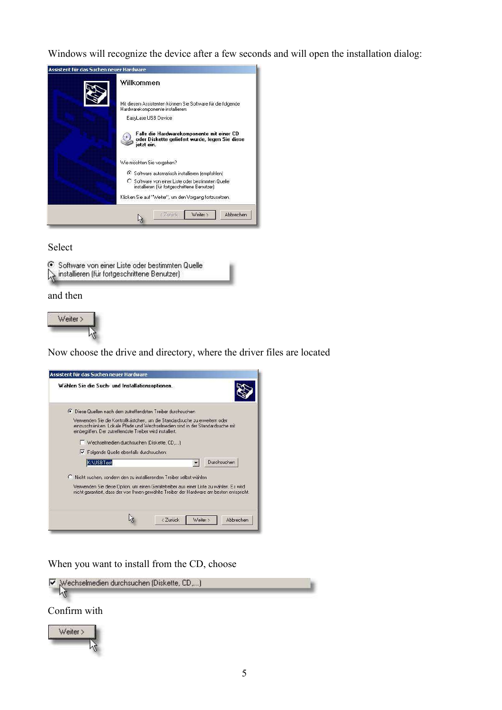Windows will recognize the device after a few seconds and will open the installation dialog:



Select

 $\bullet$  Software von einer Liste oder bestimmten Quelle

and then



Now choose the drive and directory, where the driver files are located

| Wählen Sie die Such- und Installationsoptionen.                                                        |                                                                                                                                                                                   |  |
|--------------------------------------------------------------------------------------------------------|-----------------------------------------------------------------------------------------------------------------------------------------------------------------------------------|--|
| G.<br>Diese Quellen nach dem zutreffendsten Treiber durchsuchen                                        |                                                                                                                                                                                   |  |
| einbegriffen. Der zutreffendste Treiber wird installiert.<br>Wechselmedien durchsuchen (Diskette, CD,) | Verwenden Sie die Kontrollkästchen, um die Standardsuche zu erweitern oder<br>einzuschränken. Lokale Pfade und Wechselmedien sind in der Standardsuche mit                        |  |
| $\triangleright$ Folgende Quelle ebenfalls durchsuchen:<br>K:\USBTest                                  | Durchsuchen                                                                                                                                                                       |  |
| C Nicht suchen, sondern den zu installierenden Treiber selbst wählen                                   | Verwenden Sie diese Option, um einen Gerätetreiber aus einer Liste zu wählen. Es wird<br>nicht garantiert, dass der von Ihnen gewählte Treiber der Hardware am besten entspricht. |  |
|                                                                                                        |                                                                                                                                                                                   |  |

When you want to install from the CD, choose

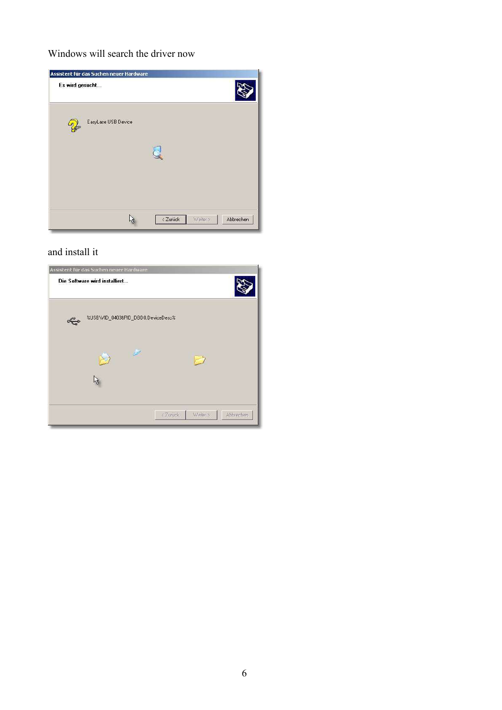Windows will search the driver now



#### and install it

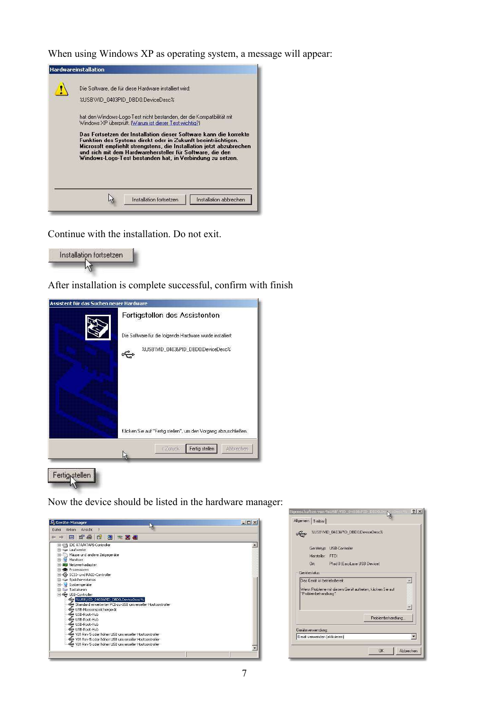When using Windows XP as operating system, a message will appear:



Continue with the installation. Do not exit.



After installation is complete successful, confirm with finish



Fertig<sub>N</sub>stellen Lу

Now the device should be listed in the hardware manager:



|                      | %USB\VID_0403&PID_DBD0.DeviceDesc%                        |
|----------------------|-----------------------------------------------------------|
|                      | Gerätetyp: USB-Controller                                 |
| Hersteller: FTDI     |                                                           |
| Ort: 1               | Pfad 0 (EasyLase USB Device)                              |
|                      |                                                           |
| "Problembehandlung". | Wenn Probleme mit diesem Gerät auftreten, klicken Sie auf |
|                      | Problembehandlung                                         |
| Geräteverwendung:    |                                                           |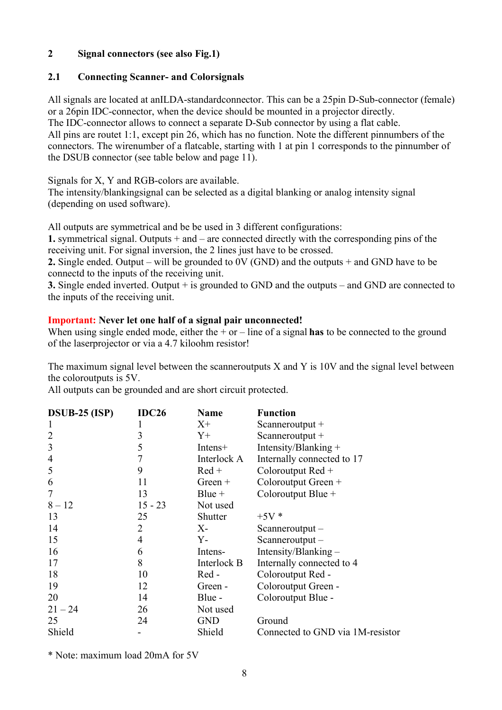## **2 Signal connectors (see also Fig.1)**

#### **2.1 Connecting Scanner- and Colorsignals**

All signals are located at anILDA-standardconnector. This can be a 25pin D-Sub-connector (female) or a 26pin IDC-connector, when the device should be mounted in a projector directly. The IDC-connector allows to connect a separate D-Sub connector by using a flat cable. All pins are routet 1:1, except pin 26, which has no function. Note the different pinnumbers of the connectors. The wirenumber of a flatcable, starting with 1 at pin 1 corresponds to the pinnumber of the DSUB connector (see table below and page 11).

Signals for X, Y and RGB-colors are available.

The intensity/blankingsignal can be selected as a digital blanking or analog intensity signal (depending on used software).

All outputs are symmetrical and be be used in 3 different configurations:

**1.** symmetrical signal. Outputs + and – are connected directly with the corresponding pins of the receiving unit. For signal inversion, the 2 lines just have to be crossed.

**2.** Single ended. Output – will be grounded to 0V (GND) and the outputs + and GND have to be connectd to the inputs of the receiving unit.

**3.** Single ended inverted. Output + is grounded to GND and the outputs – and GND are connected to the inputs of the receiving unit.

#### **Important: Never let one half of a signal pair unconnected!**

When using single ended mode, either the + or – line of a signal **has** to be connected to the ground of the laserprojector or via a 4.7 kiloohm resistor!

The maximum signal level between the scanneroutputs X and Y is 10V and the signal level between the coloroutputs is 5V.

All outputs can be grounded and are short circuit protected.

| <b>DSUB-25 (ISP)</b> | IDC26          | <b>Name</b> | <b>Function</b>                  |
|----------------------|----------------|-------------|----------------------------------|
| -1                   | 1              | $X^+$       | Scanneroutput $+$                |
| 2                    | 3              | $Y+$        | Scanneroutput $+$                |
| 3                    | 5              | Intens+     | Intensity/Blanking $+$           |
| 4                    | $\overline{7}$ | Interlock A | Internally connected to 17       |
| 5                    | 9              | $Red +$     | Coloroutput $Red +$              |
| 6                    | 11             | $Green +$   | Coloroutput Green +              |
|                      | 13             | $Blue +$    | Coloroutput Blue $+$             |
| $8 - 12$             | $15 - 23$      | Not used    |                                  |
| 13                   | 25             | Shutter     | $+5V*$                           |
| 14                   | 2              | $X-$        | $Scanner output -$               |
| 15                   | 4              | $Y -$       | $Scanner output -$               |
| 16                   | 6              | Intens-     | Intensity/Blanking $-$           |
| 17                   | 8              | Interlock B | Internally connected to 4        |
| 18                   | 10             | Red-        | Coloroutput Red -                |
| 19                   | 12             | Green -     | Coloroutput Green -              |
| 20                   | 14             | Blue -      | Coloroutput Blue -               |
| $21 - 24$            | 26             | Not used    |                                  |
| 25                   | 24             | <b>GND</b>  | Ground                           |
| Shield               |                | Shield      | Connected to GND via 1M-resistor |

\* Note: maximum load 20mA for 5V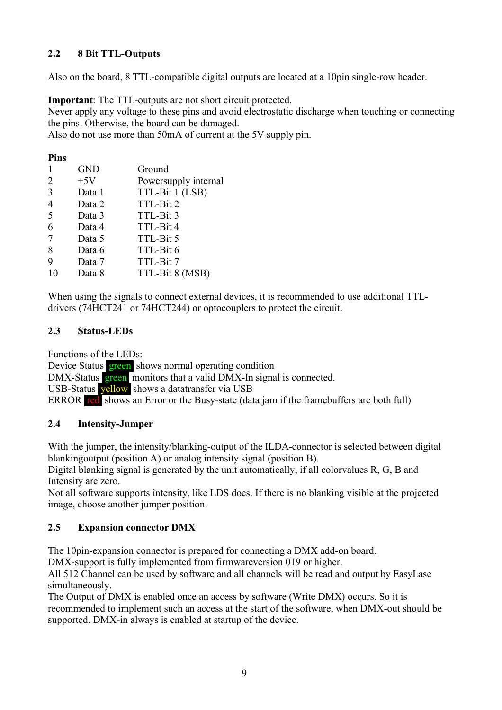# **2.2 8 Bit TTL-Outputs**

Also on the board, 8 TTL-compatible digital outputs are located at a 10pin single-row header.

**Important**: The TTL-outputs are not short circuit protected.

Never apply any voltage to these pins and avoid electrostatic discharge when touching or connecting the pins. Otherwise, the board can be damaged.

Also do not use more than 50mA of current at the 5V supply pin.

#### **Pins**

|                | <b>GND</b> | Ground               |
|----------------|------------|----------------------|
| $\overline{2}$ | $+5V$      | Powersupply internal |
| 3              | Data 1     | TTL-Bit 1 (LSB)      |
| $\overline{4}$ | Data 2     | TTL-Bit 2            |
| 5              | Data 3     | TTL-Bit 3            |
| 6              | Data 4     | TTL-Bit 4            |
| 7              | Data 5     | TTL-Bit 5            |
| 8              | Data 6     | TTL-Bit 6            |
| 9              | Data 7     | TTL-Bit 7            |
| 10             | Data 8     | TTL-Bit 8 (MSB)      |
|                |            |                      |

When using the signals to connect external devices, it is recommended to use additional TTLdrivers (74HCT241 or 74HCT244) or optocouplers to protect the circuit.

## **2.3 Status-LEDs**

Functions of the LEDs:

Device Status **green** shows normal operating condition DMX-Status **green** monitors that a valid DMX-In signal is connected. USB-Status yellow shows a datatransfer via USB ERROR red shows an Error or the Busy-state (data jam if the framebuffers are both full)

## **2.4 Intensity-Jumper**

With the jumper, the intensity/blanking-output of the ILDA-connector is selected between digital blankingoutput (position A) or analog intensity signal (position B).

Digital blanking signal is generated by the unit automatically, if all colorvalues R, G, B and Intensity are zero.

Not all software supports intensity, like LDS does. If there is no blanking visible at the projected image, choose another jumper position.

## **2.5 Expansion connector DMX**

The 10pin-expansion connector is prepared for connecting a DMX add-on board.

DMX-support is fully implemented from firmwareversion 019 or higher.

All 512 Channel can be used by software and all channels will be read and output by EasyLase simultaneously.

The Output of DMX is enabled once an access by software (Write DMX) occurs. So it is recommended to implement such an access at the start of the software, when DMX-out should be supported. DMX-in always is enabled at startup of the device.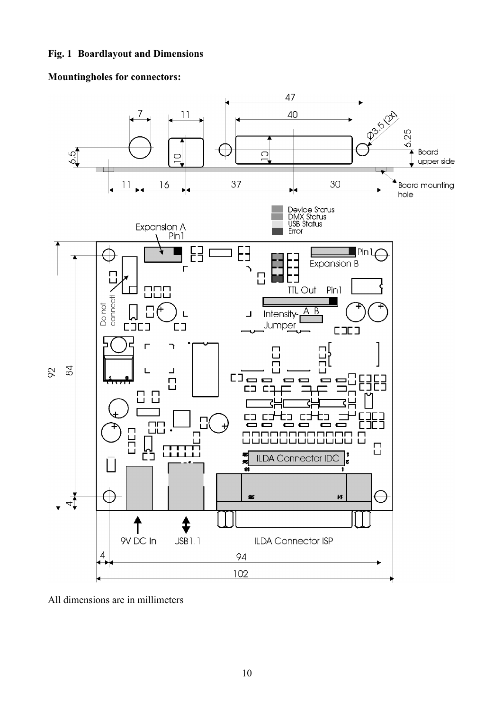#### **Fig. 1 Boardlayout and Dimensions**

#### **Mountingholes for connectors:**



All dimensions are in millimeters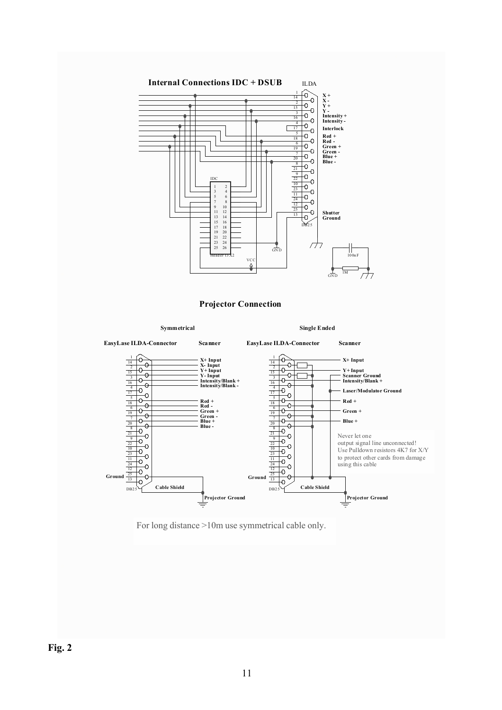





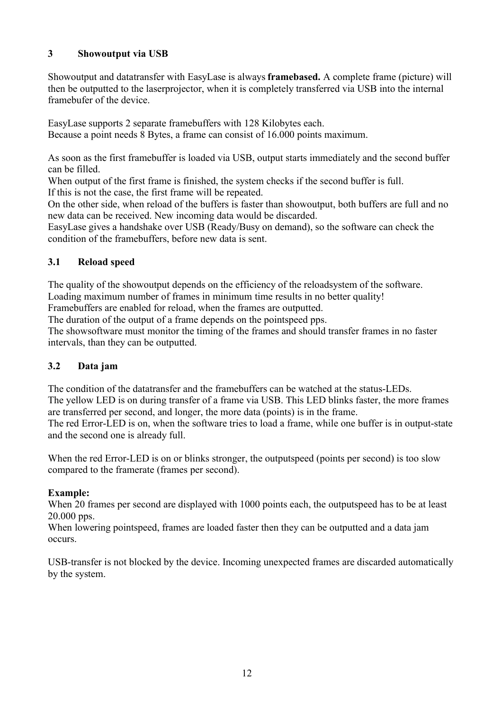## **3 Showoutput via USB**

Showoutput and datatransfer with EasyLase is always**framebased.** A complete frame (picture) will then be outputted to the laserprojector, when it is completely transferred via USB into the internal framebufer of the device.

EasyLase supports 2 separate framebuffers with 128 Kilobytes each. Because a point needs 8 Bytes, a frame can consist of 16.000 points maximum.

As soon as the first framebuffer is loaded via USB, output starts immediately and the second buffer can be filled.

When output of the first frame is finished, the system checks if the second buffer is full. If this is not the case, the first frame will be repeated.

On the other side, when reload of the buffers is faster than showoutput, both buffers are full and no new data can be received. New incoming data would be discarded.

EasyLase gives a handshake over USB (Ready/Busy on demand), so the software can check the condition of the framebuffers, before new data is sent.

#### **3.1 Reload speed**

The quality of the showoutput depends on the efficiency of the reloadsystem of the software. Loading maximum number of frames in minimum time results in no better quality!

Framebuffers are enabled for reload, when the frames are outputted.

The duration of the output of a frame depends on the pointspeed pps.

The showsoftware must monitor the timing of the frames and should transfer frames in no faster intervals, than they can be outputted.

#### **3.2 Data jam**

The condition of the datatransfer and the framebuffers can be watched at the status-LEDs. The yellow LED is on during transfer of a frame via USB. This LED blinks faster, the more frames are transferred per second, and longer, the more data (points) is in the frame.

The red Error-LED is on, when the software tries to load a frame, while one buffer is in output-state and the second one is already full.

When the red Error-LED is on or blinks stronger, the outputspeed (points per second) is too slow compared to the framerate (frames per second).

#### **Example:**

When 20 frames per second are displayed with 1000 points each, the outputspeed has to be at least 20.000 pps.

When lowering pointspeed, frames are loaded faster then they can be outputted and a data jam occurs.

USB-transfer is not blocked by the device. Incoming unexpected frames are discarded automatically by the system.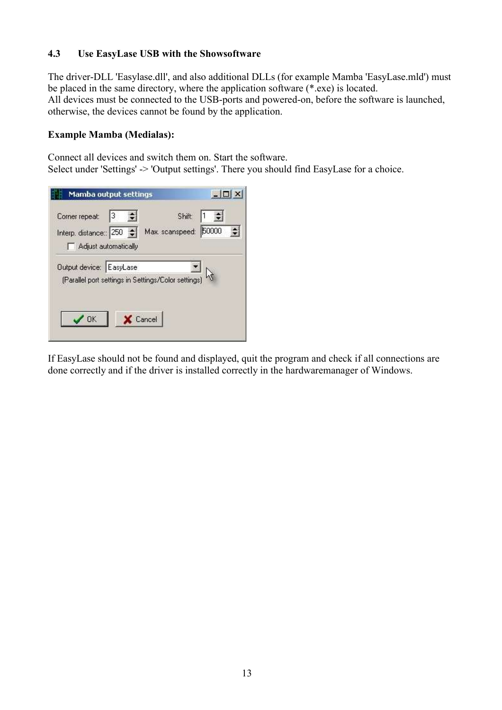## **4.3 Use EasyLase USB with the Showsoftware**

The driver-DLL 'Easylase.dll', and also additional DLLs (for example Mamba 'EasyLase.mld') must be placed in the same directory, where the application software (\*.exe) is located. All devices must be connected to the USB-ports and powered-on, before the software is launched, otherwise, the devices cannot be found by the application.

#### **Example Mamba (Medialas):**

Connect all devices and switch them on. Start the software. Select under 'Settings' -> 'Output settings'. There you should find EasyLase for a choice.

|                                                                                      | <b>Mamba output settings</b> |                 |        |                        |               |
|--------------------------------------------------------------------------------------|------------------------------|-----------------|--------|------------------------|---------------|
| Corner repeat:<br>Interp. distance: 250<br>Adjust automatically                      | $\Rightarrow$<br>3           | Max. scanspeed: | Shift: | $\Rightarrow$<br>50000 | $\Rightarrow$ |
| Output device: EasyLase<br>(Parallel port settings in Settings/Color settings)<br>OK | X Cancel                     |                 |        |                        |               |

If EasyLase should not be found and displayed, quit the program and check if all connections are done correctly and if the driver is installed correctly in the hardwaremanager of Windows.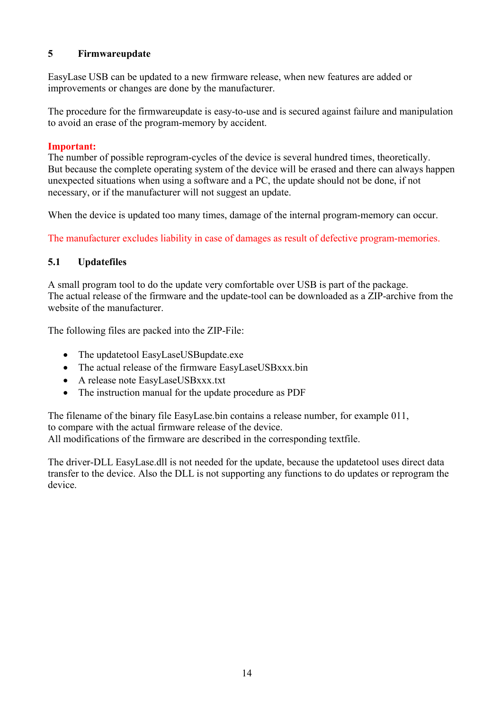## **5 Firmwareupdate**

EasyLase USB can be updated to a new firmware release, when new features are added or improvements or changes are done by the manufacturer.

The procedure for the firmwareupdate is easy-to-use and is secured against failure and manipulation to avoid an erase of the program-memory by accident.

#### **Important:**

The number of possible reprogram-cycles of the device is several hundred times, theoretically. But because the complete operating system of the device will be erased and there can always happen unexpected situations when using a software and a PC, the update should not be done, if not necessary, or if the manufacturer will not suggest an update.

When the device is updated too many times, damage of the internal program-memory can occur.

The manufacturer excludes liability in case of damages as result of defective program-memories.

#### **5.1 Updatefiles**

A small program tool to do the update very comfortable over USB is part of the package. The actual release of the firmware and the update-tool can be downloaded as a ZIP-archive from the website of the manufacturer.

The following files are packed into the ZIP-File:

- The updatetool EasyLaseUSBupdate.exe
- The actual release of the firmware EasyLaseUSBxxx.bin
- A release note EasyLaseUSBxxx.txt
- The instruction manual for the update procedure as PDF

The filename of the binary file EasyLase.bin contains a release number, for example 011, to compare with the actual firmware release of the device. All modifications of the firmware are described in the corresponding textfile.

The driver-DLL EasyLase.dll is not needed for the update, because the updatetool uses direct data transfer to the device. Also the DLL is not supporting any functions to do updates or reprogram the device.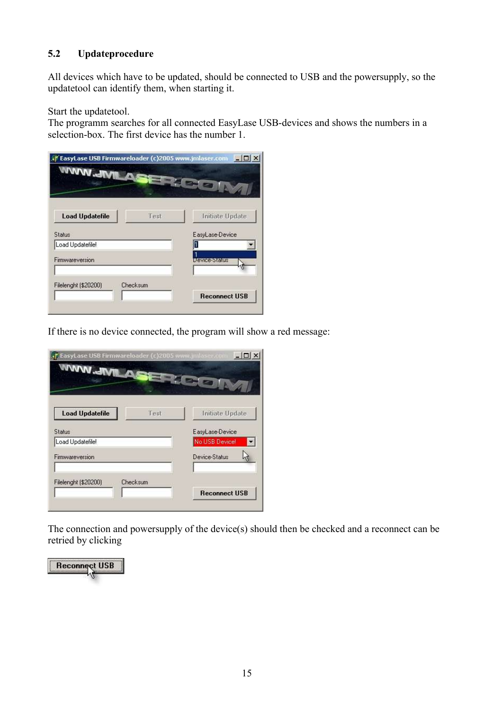## **5.2 Updateprocedure**

All devices which have to be updated, should be connected to USB and the powersupply, so the updatetool can identify them, when starting it.

Start the updatetool.

The programm searches for all connected EasyLase USB-devices and shows the numbers in a selection-box. The first device has the number 1.



If there is no device connected, the program will show a red message:

| .J' EasyLase USB Firmwareloader (c)2005 www.jmlaser.com | $ \Box$ $\times$ |
|---------------------------------------------------------|------------------|
| <b>MWW.JMW</b>                                          |                  |
|                                                         | <b>BLAY</b>      |
|                                                         |                  |
| <b>Load Updatefile</b><br>Test                          | Initiate Update  |
| <b>Status</b>                                           | EasyLase-Device  |
| Load Updatefile!                                        | No USB Device!   |
| Firmwareversion                                         | Device-Status    |
| Checksum<br>Filelenght (\$20200)                        |                  |
|                                                         |                  |

The connection and powersupply of the device(s) should then be checked and a reconnect can be retried by clicking

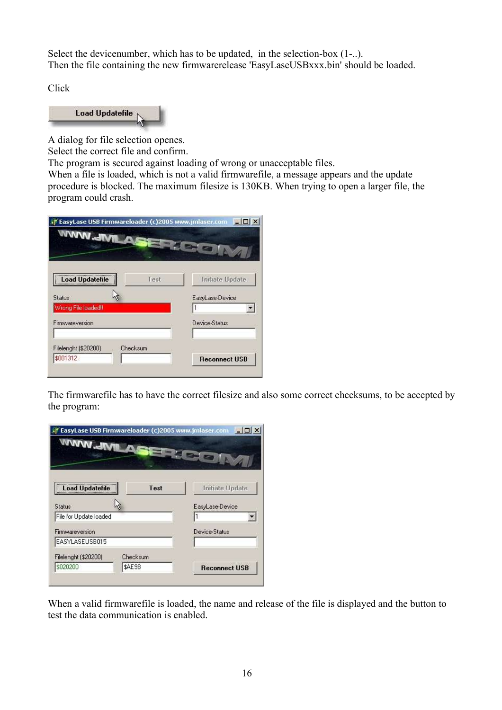Select the devicenumber, which has to be updated, in the selection-box (1-..). Then the file containing the new firmwarerelease 'EasyLaseUSBxxx.bin' should be loaded.

Click



A dialog for file selection openes.

Select the correct file and confirm.

The program is secured against loading of wrong or unacceptable files.

When a file is loaded, which is not a valid firmwarefile, a message appears and the update procedure is blocked. The maximum filesize is 130KB. When trying to open a larger file, the program could crash.

| EasyLase USB Firmwareloader (c)2005 www.jmlaser.com<br><b>MWW-JMW</b> | $ \Box$ $\times$     |
|-----------------------------------------------------------------------|----------------------|
| <b>Load Updatefile</b><br>Test                                        | Initiate Update      |
| Status<br>Wrong File loaded!!                                         | EasyLase-Device      |
| Firmwareversion                                                       | Device-Status        |
| Checksum<br>Filelenght (\$20200)<br>\$001312                          | <b>Reconnect USB</b> |

The firmwarefile has to have the correct filesize and also some correct checksums, to be accepted by the program:

| EasyLase USB Firmwareloader (c)2005 www.jmlaser.com<br><b>MWWW</b> | $ \Box$ $\times$                   |
|--------------------------------------------------------------------|------------------------------------|
| <b>Load Updatefile</b><br>Test<br><b>Status</b>                    | Initiate Update<br>EasyLase-Device |
| File for Update loaded                                             |                                    |
| Firmwareversion<br>EASYLASEUSB015                                  | Device-Status                      |
| Checksum<br>Filelenght (\$20200)<br>\$020200<br><b>\$AE98</b>      | <b>Reconnect USB</b>               |

When a valid firmwarefile is loaded, the name and release of the file is displayed and the button to test the data communication is enabled.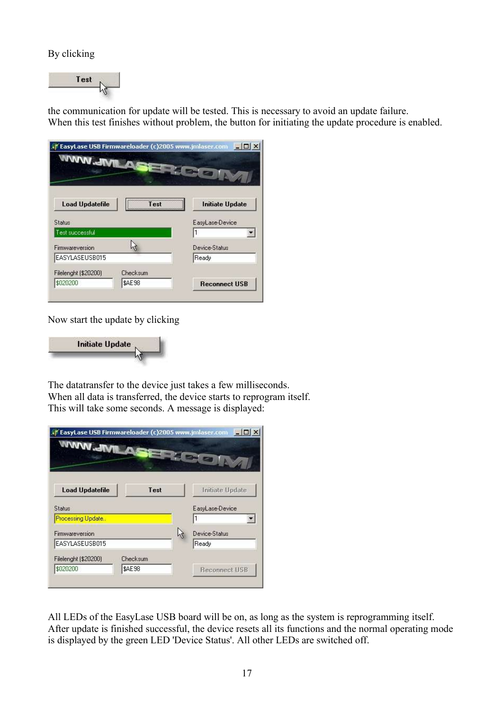## By clicking



the communication for update will be tested. This is necessary to avoid an update failure. When this test finishes without problem, the button for initiating the update procedure is enabled.



Now start the update by clicking



The datatransfer to the device just takes a few milliseconds. When all data is transferred, the device starts to reprogram itself. This will take some seconds. A message is displayed:

| <b>IMMW-JM</b>         | EasyLase USB Firmwareloader (c)2005 www.jmlaser.com |  | $\Box$          |
|------------------------|-----------------------------------------------------|--|-----------------|
| <b>Load Updatefile</b> | Test                                                |  | Initiate Update |
| <b>Status</b>          |                                                     |  | EasyLase-Device |
| Processing Update      |                                                     |  |                 |
| Firmwareversion        |                                                     |  | Device-Status   |
| EASYLASEUSB015         |                                                     |  | Ready           |
| Filelenght (\$20200)   | Checksum                                            |  |                 |
|                        |                                                     |  |                 |

All LEDs of the EasyLase USB board will be on, as long as the system is reprogramming itself. After update is finished successful, the device resets all its functions and the normal operating mode is displayed by the green LED 'Device Status'. All other LEDs are switched off.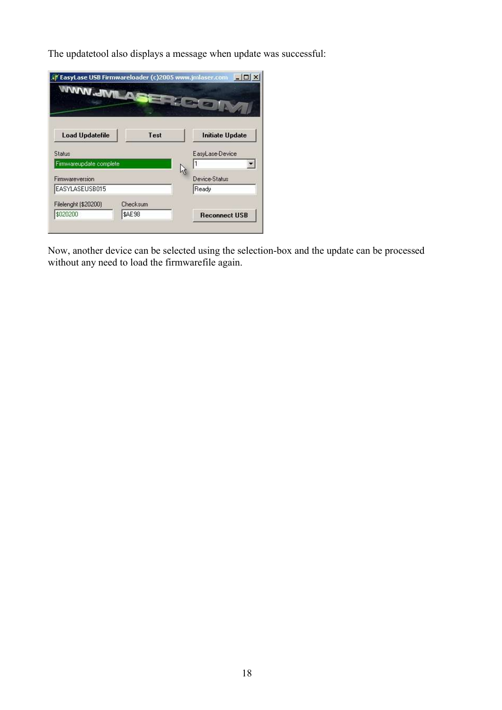The updatetool also displays a message when update was successful:

| <b>IMMWWW</b>           | EasyLase USB Firmwareloader (c)2005 www.jmlaser.com |  | $-$ InI $\times$       |
|-------------------------|-----------------------------------------------------|--|------------------------|
| <b>Load Updatefile</b>  | Test                                                |  | <b>Initiate Update</b> |
| <b>Status</b>           |                                                     |  | EasyLase-Device        |
| Firmwareupdate complete |                                                     |  |                        |
| Firmwareversion         |                                                     |  | Device-Status          |
| EASYLASEUSB015          |                                                     |  | Ready                  |
| Filelenght (\$20200)    | Checksum                                            |  |                        |
| \$020200                | \$AE98                                              |  | <b>Reconnect USB</b>   |

Now, another device can be selected using the selection-box and the update can be processed without any need to load the firmwarefile again.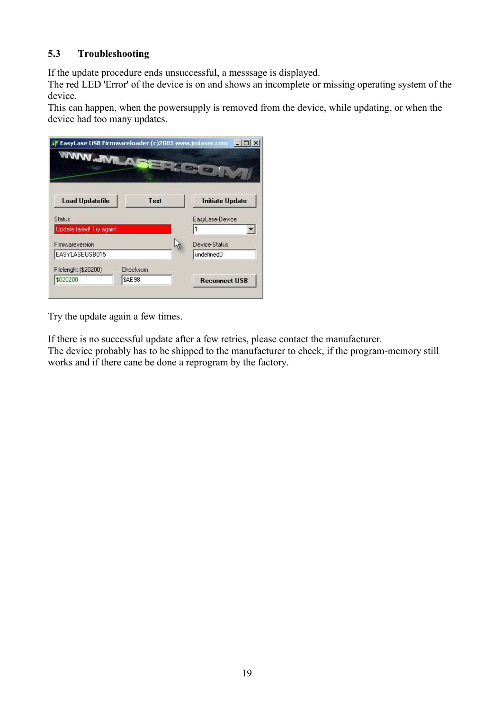## **5.3 Troubleshooting**

If the update procedure ends unsuccessful, a messsage is displayed.

The red LED 'Error' of the device is on and shows an incomplete or missing operating system of the device.

This can happen, when the powersupply is removed from the device, while updating, or when the device had too many updates.



Try the update again a few times.

If there is no successful update after a few retries, please contact the manufacturer. The device probably has to be shipped to the manufacturer to check, if the program-memory still works and if there cane be done a reprogram by the factory.